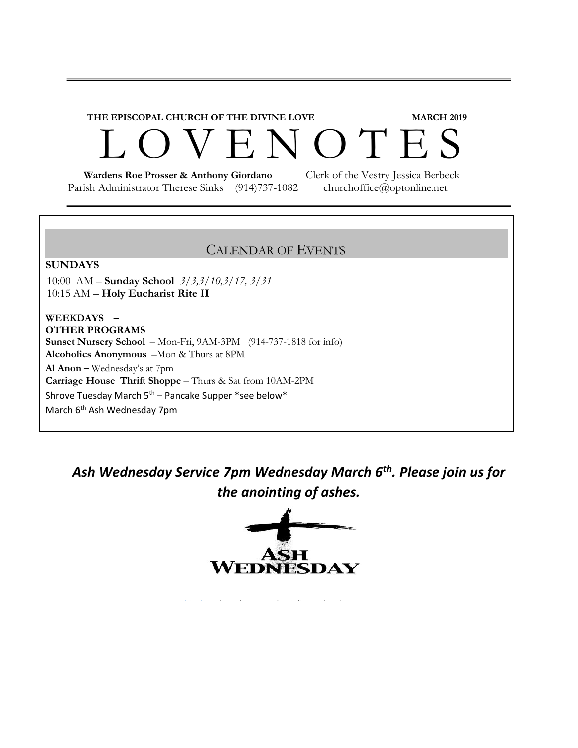# **THE EPISCOPAL CHURCH OF THE DIVINE LOVE MARCH 2019**  L O V E N O T E S

 **Wardens Roe Prosser & Anthony Giordano** Clerk of the Vestry Jessica Berbeck Parish Administrator Therese Sinks (914)737-1082 churchoffice@optonline.net

#### CALENDAR OF EVENTS

#### **SUNDAYS**

10:00 AM – **Sunday School** *3/3,3/10,3/17, 3/31* 10:15 AM – **Holy Eucharist Rite II**

#### **WEEKDAYS – OTHER PROGRAMS**

**Sunset Nursery School** – Mon-Fri, 9AM-3PM (914-737-1818 for info) **Alcoholics Anonymous** –Mon & Thurs at 8PM **Al Anon** – Wednesday's at 7pm **Carriage House Thrift Shoppe** – Thurs & Sat from 10AM-2PM Shrove Tuesday March  $5<sup>th</sup>$  – Pancake Supper \*see below\* March 6<sup>th</sup> Ash Wednesday 7pm

*Ash Wednesday Service 7pm Wednesday March 6th. Please join us for the anointing of ashes.*

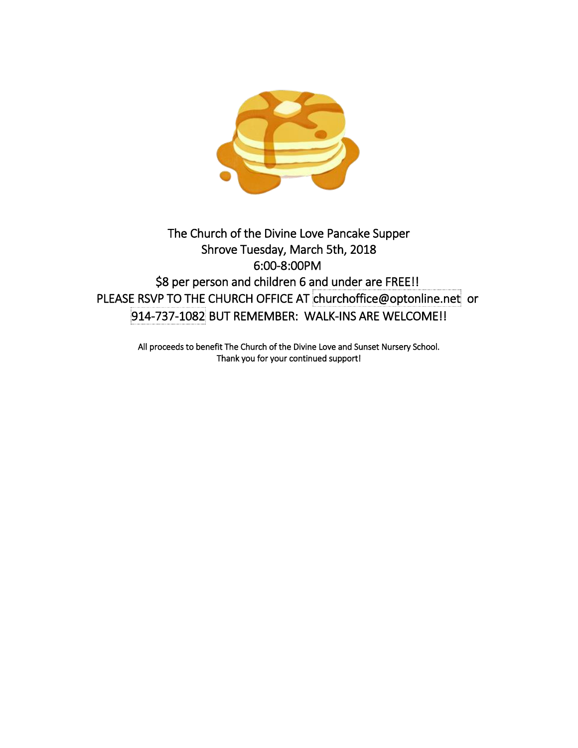

#### The Church of the Divine Love Pancake Supper Shrove Tuesday, March 5th, 2018 6:00-8:00PM \$8 per person and children 6 and under are FREE!! PLEASE RSVP TO THE CHURCH OFFICE AT churchoffice@optonline.net or 914-737-1082 BUT REMEMBER: WALK-INS ARE WELCOME!!

All proceeds to benefit The Church of the Divine Love and Sunset Nursery School. Thank you for your continued support!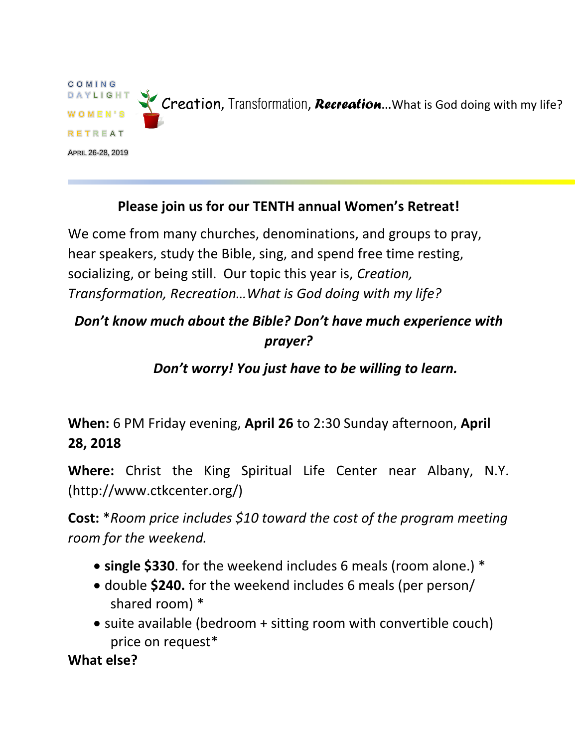

#### **Please join us for our TENTH annual Women's Retreat!**

We come from many churches, denominations, and groups to pray, hear speakers, study the Bible, sing, and spend free time resting, socializing, or being still. Our topic this year is, *Creation, Transformation, Recreation…What is God doing with my life?*

## *Don't know much about the Bible? Don't have much experience with prayer?*

#### *Don't worry! You just have to be willing to learn.*

**When:** 6 PM Friday evening, **April 26** to 2:30 Sunday afternoon, **April 28, 2018**

**Where:** Christ the King Spiritual Life Center near Albany, N.Y. (http://www.ctkcenter.org/)

**Cost:** \**Room price includes \$10 toward the cost of the program meeting room for the weekend.*

- **single \$330**. for the weekend includes 6 meals (room alone.) \*
- double **\$240.** for the weekend includes 6 meals (per person/ shared room) \*
- suite available (bedroom + sitting room with convertible couch) price on request\*

**What else?**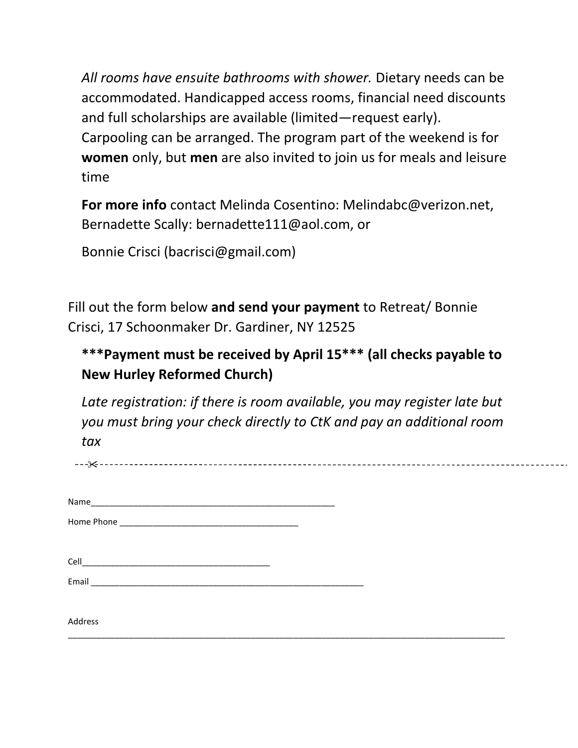*All rooms have ensuite bathrooms with shower.* Dietary needs can be accommodated. Handicapped access rooms, financial need discounts and full scholarships are available (limited—request early). Carpooling can be arranged. The program part of the weekend is for **women** only, but **men** are also invited to join us for meals and leisure time

**For more info** contact Melinda Cosentino: Melindabc@verizon.net, Bernadette Scally: bernadette111@aol.com, or

Bonnie Crisci (bacrisci@gmail.com)

Fill out the form below **and send your payment** to Retreat/ Bonnie Crisci, 17 Schoonmaker Dr. Gardiner, NY 12525

### **\*\*\*Payment must be received by April 15\*\*\* (all checks payable to New Hurley Reformed Church)**

*Late registration: if there is room available, you may register late but you must bring your check directly to CtK and pay an additional room tax*

| Cell    |  |
|---------|--|
| Email   |  |
| Address |  |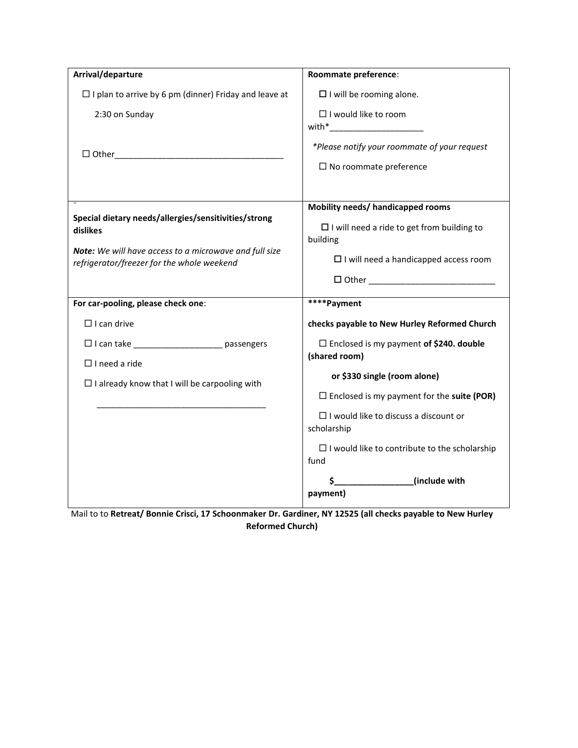| Arrival/departure                                                                                                                                                        | Roommate preference:                                                                                                                               |
|--------------------------------------------------------------------------------------------------------------------------------------------------------------------------|----------------------------------------------------------------------------------------------------------------------------------------------------|
| $\Box$ I plan to arrive by 6 pm (dinner) Friday and leave at                                                                                                             | $\Box$ I will be rooming alone.                                                                                                                    |
| 2:30 on Sunday                                                                                                                                                           | $\Box$ I would like to room<br>with*__________________________                                                                                     |
| $\Box$ Other                                                                                                                                                             | *Please notify your roommate of your request<br>$\Box$ No roommate preference                                                                      |
|                                                                                                                                                                          |                                                                                                                                                    |
| Special dietary needs/allergies/sensitivities/strong<br>dislikes<br>Note: We will have access to a microwave and full size<br>refrigerator/freezer for the whole weekend | Mobility needs/ handicapped rooms<br>$\Box$ I will need a ride to get from building to<br>building<br>$\Box$ I will need a handicapped access room |
|                                                                                                                                                                          | $\Box$ Other and $\Box$ Other and $\Box$                                                                                                           |
|                                                                                                                                                                          |                                                                                                                                                    |
| For car-pooling, please check one:                                                                                                                                       | ****Payment                                                                                                                                        |
| $\Box$ I can drive                                                                                                                                                       | checks payable to New Hurley Reformed Church                                                                                                       |
| □ I can take ________________________ passengers                                                                                                                         | $\Box$ Enclosed is my payment of \$240. double<br>(shared room)                                                                                    |
| $\Box$ I need a ride                                                                                                                                                     | or \$330 single (room alone)                                                                                                                       |
| $\Box$ I already know that I will be carpooling with                                                                                                                     | $\Box$ Enclosed is my payment for the suite (POR)                                                                                                  |
|                                                                                                                                                                          | $\Box$ I would like to discuss a discount or<br>scholarship                                                                                        |
|                                                                                                                                                                          | $\Box$ I would like to contribute to the scholarship<br>fund                                                                                       |

Mail to to **Retreat/ Bonnie Crisci, 17 Schoonmaker Dr. Gardiner, NY 12525 (all checks payable to New Hurley Reformed Church)**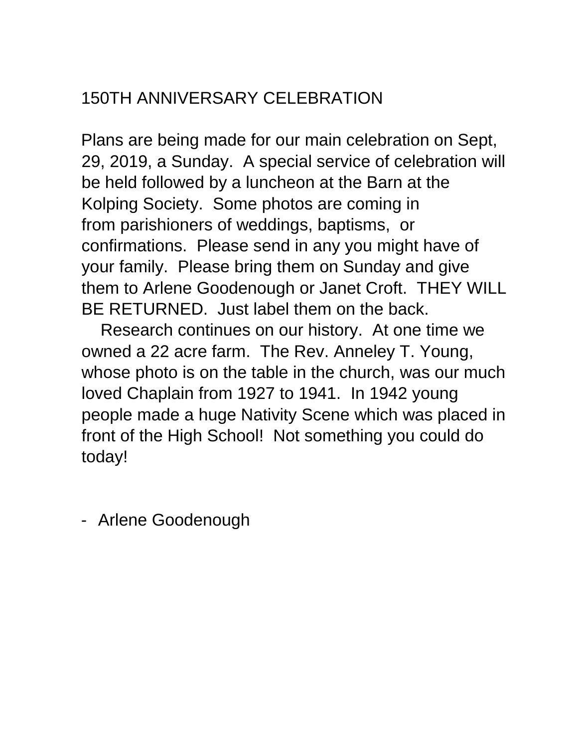## 150TH ANNIVERSARY CELEBRATION

Plans are being made for our main celebration on Sept, 29, 2019, a Sunday. A special service of celebration will be held followed by a luncheon at the Barn at the Kolping Society. Some photos are coming in from parishioners of weddings, baptisms, or confirmations. Please send in any you might have of your family. Please bring them on Sunday and give them to Arlene Goodenough or Janet Croft. THEY WILL BE RETURNED. Just label them on the back.

Research continues on our history. At one time we owned a 22 acre farm. The Rev. Anneley T. Young, whose photo is on the table in the church, was our much loved Chaplain from 1927 to 1941. In 1942 young people made a huge Nativity Scene which was placed in front of the High School! Not something you could do today!

- Arlene Goodenough